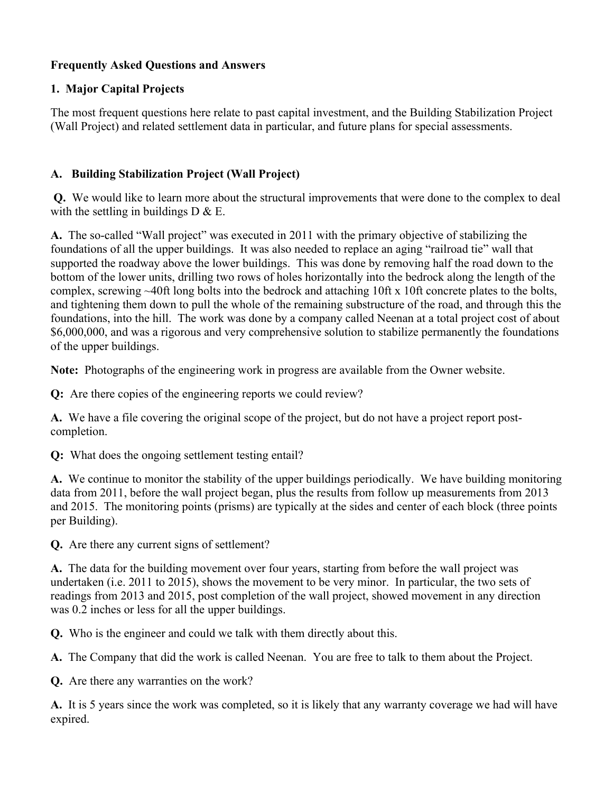## **Frequently Asked Questions and Answers**

## **1. Major Capital Projects**

The most frequent questions here relate to past capital investment, and the Building Stabilization Project (Wall Project) and related settlement data in particular, and future plans for special assessments.

## **A. Building Stabilization Project (Wall Project)**

**Q.** We would like to learn more about the structural improvements that were done to the complex to deal with the settling in buildings  $D \& E$ .

**A.** The so-called "Wall project" was executed in 2011 with the primary objective of stabilizing the foundations of all the upper buildings. It was also needed to replace an aging "railroad tie" wall that supported the roadway above the lower buildings. This was done by removing half the road down to the bottom of the lower units, drilling two rows of holes horizontally into the bedrock along the length of the complex, screwing ~40ft long bolts into the bedrock and attaching 10ft x 10ft concrete plates to the bolts, and tightening them down to pull the whole of the remaining substructure of the road, and through this the foundations, into the hill. The work was done by a company called Neenan at a total project cost of about \$6,000,000, and was a rigorous and very comprehensive solution to stabilize permanently the foundations of the upper buildings.

**Note:** Photographs of the engineering work in progress are available from the Owner website.

**Q:** Are there copies of the engineering reports we could review?

**A.** We have a file covering the original scope of the project, but do not have a project report postcompletion.

**Q:** What does the ongoing settlement testing entail?

**A.** We continue to monitor the stability of the upper buildings periodically. We have building monitoring data from 2011, before the wall project began, plus the results from follow up measurements from 2013 and 2015. The monitoring points (prisms) are typically at the sides and center of each block (three points per Building).

**Q.** Are there any current signs of settlement?

**A.** The data for the building movement over four years, starting from before the wall project was undertaken (i.e. 2011 to 2015), shows the movement to be very minor. In particular, the two sets of readings from 2013 and 2015, post completion of the wall project, showed movement in any direction was 0.2 inches or less for all the upper buildings.

**Q.** Who is the engineer and could we talk with them directly about this.

**A.** The Company that did the work is called Neenan. You are free to talk to them about the Project.

**Q.** Are there any warranties on the work?

**A.** It is 5 years since the work was completed, so it is likely that any warranty coverage we had will have expired.